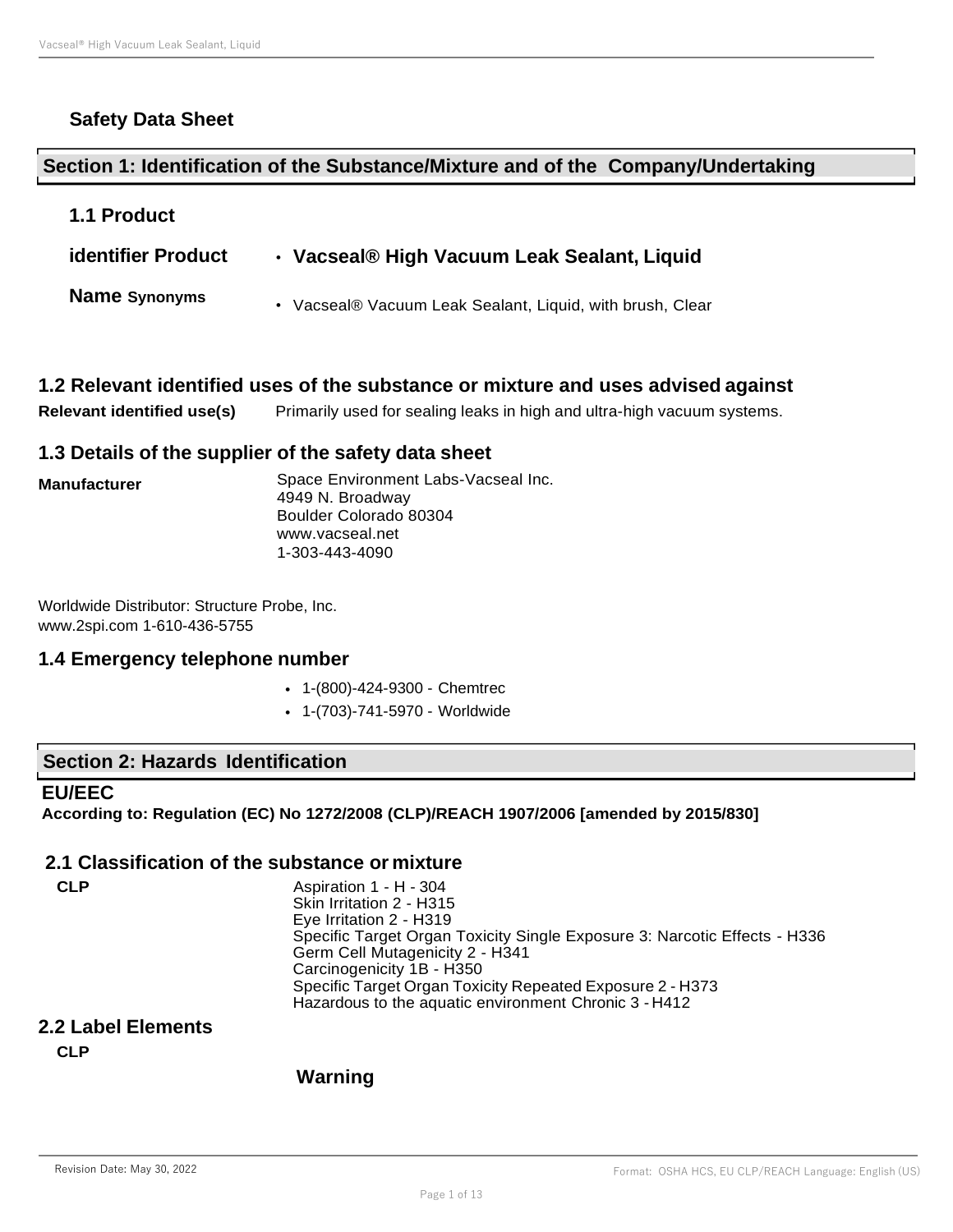# **Safety Data Sheet**

# **Section 1: Identification of the Substance/Mixture and of the Company/Undertaking**

| <b>1.1 Product</b>        |                                                           |
|---------------------------|-----------------------------------------------------------|
| <b>identifier Product</b> | • Vacseal® High Vacuum Leak Sealant, Liquid               |
| <b>Name Synonyms</b>      | • Vacseal® Vacuum Leak Sealant, Liquid, with brush, Clear |

# **1.2 Relevant identified uses of the substance or mixture and uses advised against**

**Relevant identified use(s)** Primarily used for sealing leaks in high and ultra-high vacuum systems.

# **1.3 Details of the supplier of the safety data sheet**

| <b>Manufacturer</b> | Space Environment Labs-Vacseal Inc.<br>4949 N. Broadway |
|---------------------|---------------------------------------------------------|
|                     | Boulder Colorado 80304                                  |
|                     | www.vacseal.net                                         |
|                     | 1-303-443-4090                                          |

Worldwide Distributor: Structure Probe, Inc. [www.2spi.com 1](http://www.2spi.com/)-610-436-5755

# **1.4 Emergency telephone number**

- 1-(800)-424-9300 Chemtrec
- 1-(703)-741-5970 Worldwide

# **Section 2: Hazards Identification**

# **EU/EEC**

**According to: Regulation (EC) No 1272/2008 (CLP)/REACH 1907/2006 [amended by 2015/830]**

# **2.1 Classification of the substance or mixture**

| CLP | Aspiration 1 - H - 304                                                    |
|-----|---------------------------------------------------------------------------|
|     | Skin Irritation 2 - H315                                                  |
|     | Eye Irritation 2 - H319                                                   |
|     | Specific Target Organ Toxicity Single Exposure 3: Narcotic Effects - H336 |
|     | Germ Cell Mutagenicity 2 - H341                                           |
|     | Carcinogenicity 1B - H350                                                 |
|     | Specific Target Organ Toxicity Repeated Exposure 2 - H373                 |
|     | Hazardous to the aquatic environment Chronic 3 - H412                     |

# **2.2 Label Elements**

**CLP**

# **Warning**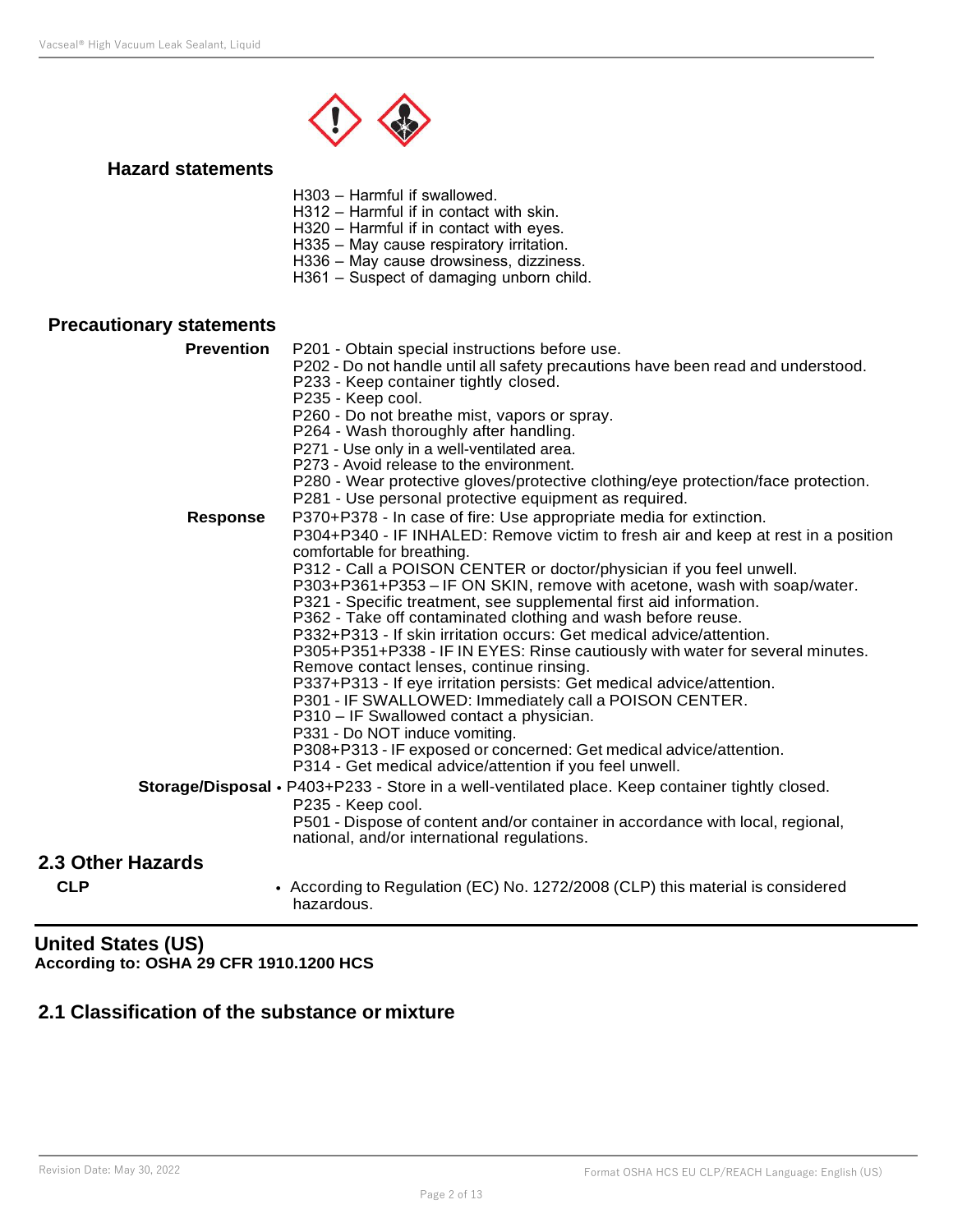

#### **Hazard statements**

H303 – Harmful if swallowed.

H312 – Harmful if in contact with skin.

H320 – Harmful if in contact with eyes.

H335 – May cause respiratory irritation.

H336 – May cause drowsiness, dizziness.

H361 – Suspect of damaging unborn child.

# **Precautionary statements**

| <b>Prevention</b> | P201 - Obtain special instructions before use.                                                                                |
|-------------------|-------------------------------------------------------------------------------------------------------------------------------|
|                   | P202 - Do not handle until all safety precautions have been read and understood.                                              |
|                   | P233 - Keep container tightly closed.                                                                                         |
|                   | P235 - Keep cool.                                                                                                             |
|                   | P260 - Do not breathe mist, vapors or spray.                                                                                  |
|                   | P264 - Wash thoroughly after handling.                                                                                        |
|                   | P271 - Use only in a well-ventilated area.                                                                                    |
|                   | P273 - Avoid release to the environment.                                                                                      |
|                   | P280 - Wear protective gloves/protective clothing/eye protection/face protection.                                             |
|                   | P281 - Use personal protective equipment as required.                                                                         |
| <b>Response</b>   | P370+P378 - In case of fire: Use appropriate media for extinction.                                                            |
|                   | P304+P340 - IF INHALED: Remove victim to fresh air and keep at rest in a position<br>comfortable for breathing.               |
|                   | P312 - Call a POISON CENTER or doctor/physician if you feel unwell.                                                           |
|                   | P303+P361+P353 - IF ON SKIN, remove with acetone, wash with soap/water.                                                       |
|                   | P321 - Specific treatment, see supplemental first aid information.                                                            |
|                   | P362 - Take off contaminated clothing and wash before reuse.                                                                  |
|                   | P332+P313 - If skin irritation occurs: Get medical advice/attention.                                                          |
|                   | P305+P351+P338 - IF IN EYES: Rinse cautiously with water for several minutes.                                                 |
|                   | Remove contact lenses, continue rinsing.                                                                                      |
|                   | P337+P313 - If eye irritation persists: Get medical advice/attention.                                                         |
|                   | P301 - IF SWALLOWED: Immediately call a POISON CENTER.                                                                        |
|                   | P310 - IF Swallowed contact a physician.                                                                                      |
|                   | P331 - Do NOT induce vomiting.                                                                                                |
|                   | P308+P313 - IF exposed or concerned: Get medical advice/attention.                                                            |
|                   | P314 - Get medical advice/attention if you feel unwell.                                                                       |
|                   | Storage/Disposal • P403+P233 - Store in a well-ventilated place. Keep container tightly closed.                               |
|                   | P235 - Keep cool.                                                                                                             |
|                   | P501 - Dispose of content and/or container in accordance with local, regional,<br>national, and/or international regulations. |
| 2.3 Other Hazards |                                                                                                                               |
| <b>CLP</b>        | • According to Regulation (EC) No. 1272/2008 (CLP) this material is considered<br>hazardous.                                  |

# **United States (US) According to: OSHA 29 CFR 1910.1200 HCS**

# **2.1 Classification of the substance or mixture**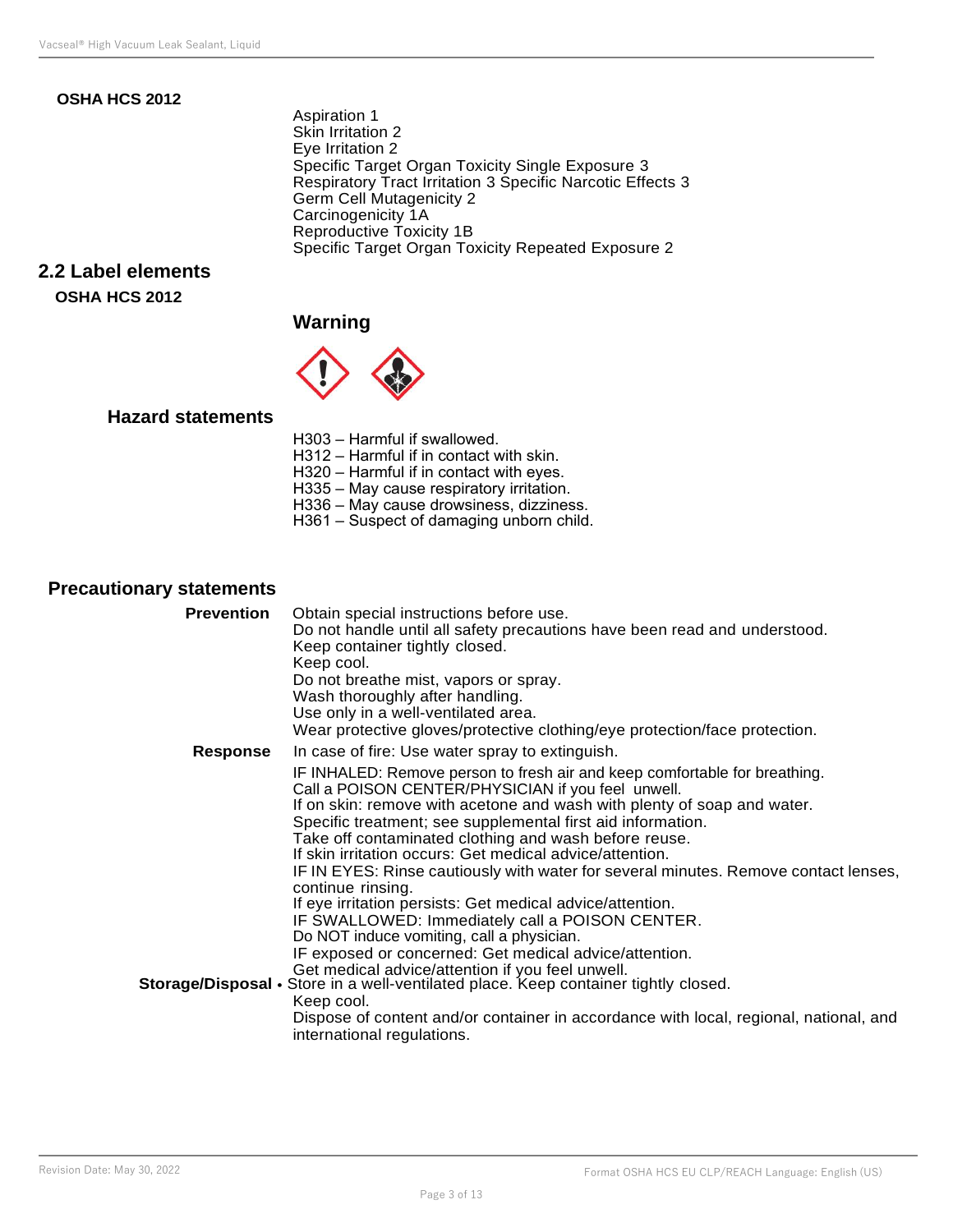# **OSHA HCS 2012**

Aspiration 1 Skin Irritation 2 Eye Irritation 2 Specific Target Organ Toxicity Single Exposure 3 Respiratory Tract Irritation 3 Specific Narcotic Effects 3 Germ Cell Mutagenicity 2 Carcinogenicity 1A Reproductive Toxicity 1B Specific Target Organ Toxicity Repeated Exposure 2

# **2.2 Label elements OSHA HCS 2012**

# **Warning**



# **Hazard statements**

- H303 Harmful if swallowed. H312 – Harmful if in contact with skin. H320 – Harmful if in contact with eyes. H335 – May cause respiratory irritation. H336 – May cause drowsiness, dizziness.
- H361 Suspect of damaging unborn child.

# **Precautionary statements**

| <b>Prevention</b> | Obtain special instructions before use.<br>Do not handle until all safety precautions have been read and understood.<br>Keep container tightly closed.<br>Keep cool.                                                                                                                                                                                                                                                                                                                                                                                                                                                                                                     |
|-------------------|--------------------------------------------------------------------------------------------------------------------------------------------------------------------------------------------------------------------------------------------------------------------------------------------------------------------------------------------------------------------------------------------------------------------------------------------------------------------------------------------------------------------------------------------------------------------------------------------------------------------------------------------------------------------------|
|                   | Do not breathe mist, vapors or spray.<br>Wash thoroughly after handling.<br>Use only in a well-ventilated area.<br>Wear protective gloves/protective clothing/eye protection/face protection.                                                                                                                                                                                                                                                                                                                                                                                                                                                                            |
| <b>Response</b>   | In case of fire: Use water spray to extinguish.                                                                                                                                                                                                                                                                                                                                                                                                                                                                                                                                                                                                                          |
|                   | IF INHALED: Remove person to fresh air and keep comfortable for breathing.<br>Call a POISON CENTER/PHYSICIAN if you feel unwell.<br>If on skin: remove with acetone and wash with plenty of soap and water.<br>Specific treatment; see supplemental first aid information.<br>Take off contaminated clothing and wash before reuse.<br>If skin irritation occurs: Get medical advice/attention.<br>IF IN EYES: Rinse cautiously with water for several minutes. Remove contact lenses,<br>continue rinsing.<br>If eye irritation persists: Get medical advice/attention.<br>IF SWALLOWED: Immediately call a POISON CENTER.<br>Do NOT induce vomiting, call a physician. |
|                   | IF exposed or concerned: Get medical advice/attention.                                                                                                                                                                                                                                                                                                                                                                                                                                                                                                                                                                                                                   |
|                   | Get medical advice/attention if you feel unwell.<br>Storage/Disposal • Store in a well-ventilated place. Keep container tightly closed.<br>Keep cool.                                                                                                                                                                                                                                                                                                                                                                                                                                                                                                                    |
|                   | Dispose of content and/or container in accordance with local, regional, national, and<br>international regulations.                                                                                                                                                                                                                                                                                                                                                                                                                                                                                                                                                      |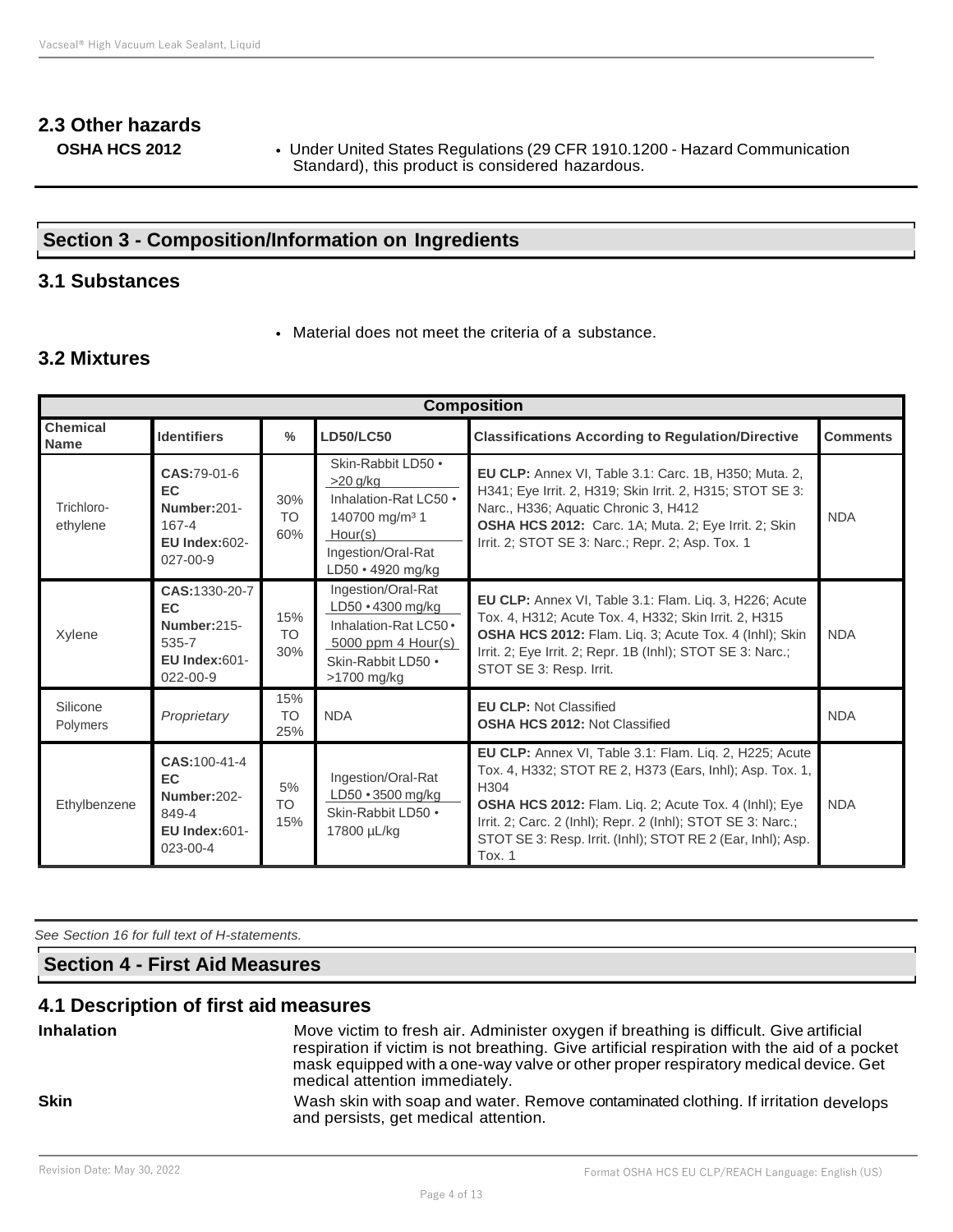# **2.3 Other hazards**

**OSHA HCS 2012** • Under United States Regulations (29 CFR 1910.1200 - Hazard Communication Standard), this product is considered hazardous.

# **Section 3 - Composition/Information on Ingredients**

# **3.1 Substances**

• Material does not meet the criteria of a substance.

# **3.2 Mixtures**

| <b>Composition</b>             |                                                                                        |                               |                                                                                                                                               |                                                                                                                                                                                                                                                                                                                                    |                 |
|--------------------------------|----------------------------------------------------------------------------------------|-------------------------------|-----------------------------------------------------------------------------------------------------------------------------------------------|------------------------------------------------------------------------------------------------------------------------------------------------------------------------------------------------------------------------------------------------------------------------------------------------------------------------------------|-----------------|
| <b>Chemical</b><br><b>Name</b> | <b>Identifiers</b>                                                                     | $\frac{0}{0}$                 | <b>LD50/LC50</b>                                                                                                                              | <b>Classifications According to Regulation/Directive</b>                                                                                                                                                                                                                                                                           | <b>Comments</b> |
| Trichloro-<br>ethylene         | CAS:79-01-6<br>EC.<br>Number:201-<br>167-4<br><b>EU Index:602-</b><br>$027 - 00 - 9$   | 30%<br>TO <sub>1</sub><br>60% | Skin-Rabbit LD50 .<br>$>20$ g/kg<br>Inhalation-Rat LC50 .<br>140700 mg/m <sup>3</sup> 1<br>Hour(s)<br>Ingestion/Oral-Rat<br>LD50 · 4920 mg/kg | <b>EU CLP:</b> Annex VI, Table 3.1: Carc. 1B, H350; Muta. 2,<br>H341; Eye Irrit. 2, H319; Skin Irrit. 2, H315; STOT SE 3:<br>Narc., H336; Aquatic Chronic 3, H412<br>OSHA HCS 2012: Carc. 1A; Muta. 2; Eye Irrit. 2; Skin<br>Irrit. 2; STOT SE 3: Narc.; Repr. 2; Asp. Tox. 1                                                      | <b>NDA</b>      |
| Xylene                         | CAS:1330-20-7<br>EC.<br>Number:215-<br>535-7<br><b>EU Index:601-</b><br>$022 - 00 - 9$ | 15%<br>TO <sub>1</sub><br>30% | Ingestion/Oral-Rat<br>$LD50 \cdot 4300$ mg/kg<br>Inhalation-Rat LC50 •<br>$5000$ ppm 4 Hour(s)<br>Skin-Rabbit LD50 .<br>$>1700$ mg/kg         | EU CLP: Annex VI, Table 3.1: Flam. Liq. 3, H226; Acute<br>Tox. 4, H312; Acute Tox. 4, H332; Skin Irrit. 2, H315<br>OSHA HCS 2012: Flam. Liq. 3; Acute Tox. 4 (Inhl); Skin<br>Irrit. 2; Eye Irrit. 2; Repr. 1B (Inhl); STOT SE 3: Narc.;<br>STOT SE 3: Resp. Irrit.                                                                 | <b>NDA</b>      |
| Silicone<br>Polymers           | Proprietary                                                                            | 15%<br><b>TO</b><br>25%       | <b>NDA</b>                                                                                                                                    | <b>EU CLP: Not Classified</b><br><b>OSHA HCS 2012: Not Classified</b>                                                                                                                                                                                                                                                              | <b>NDA</b>      |
| Ethylbenzene                   | CAS: 100-41-4<br>EC.<br>Number:202-<br>849-4<br><b>EU Index:601-</b><br>$023 - 00 - 4$ | 5%<br><b>TO</b><br>15%        | Ingestion/Oral-Rat<br>$LD50 \cdot 3500$ mg/kg<br>Skin-Rabbit LD50 .<br>17800 µL/kg                                                            | EU CLP: Annex VI, Table 3.1: Flam. Liq. 2, H225; Acute<br>Tox. 4, H332; STOT RE 2, H373 (Ears, Inhl); Asp. Tox. 1,<br>H304<br><b>OSHA HCS 2012:</b> Flam. Lig. 2; Acute Tox. 4 (lnhl); Eye<br>Irrit. 2; Carc. 2 (Inhl); Repr. 2 (Inhl); STOT SE 3: Narc.;<br>STOT SE 3: Resp. Irrit. (Inhl); STOT RE 2 (Ear, Inhl); Asp.<br>Tox. 1 | <b>NDA</b>      |

*See Section 16 for full text of H-statements.*

# **Section 4 - First Aid Measures**

# **4.1 Description of first aid measures**

| <b>Inhalation</b> | Move victim to fresh air. Administer oxygen if breathing is difficult. Give artificial<br>respiration if victim is not breathing. Give artificial respiration with the aid of a pocket<br>mask equipped with a one-way valve or other proper respiratory medical device. Get<br>medical attention immediately. |
|-------------------|----------------------------------------------------------------------------------------------------------------------------------------------------------------------------------------------------------------------------------------------------------------------------------------------------------------|
| <b>Skin</b>       | Wash skin with soap and water. Remove contaminated clothing. If irritation develops<br>and persists, get medical attention.                                                                                                                                                                                    |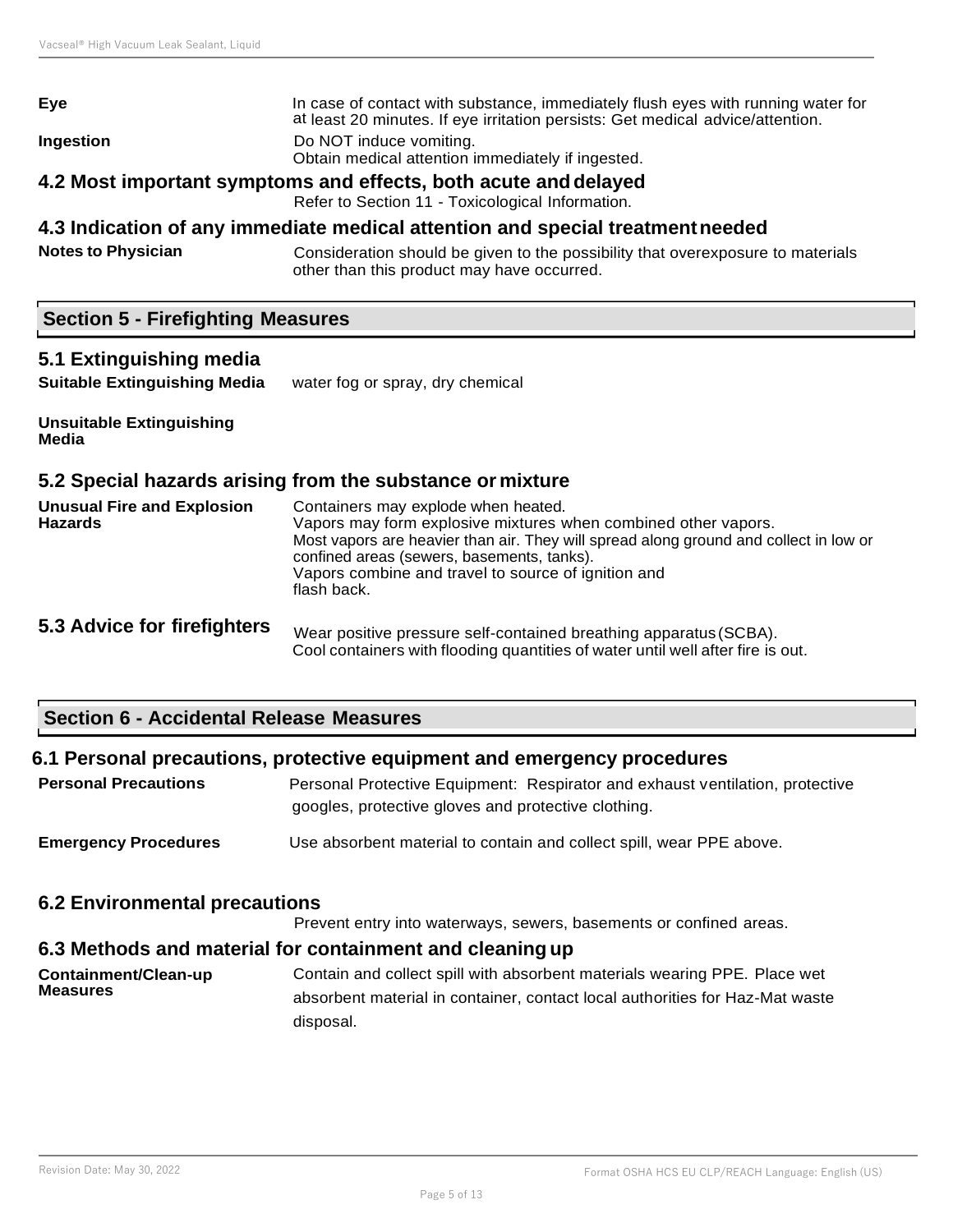| Eye                                                                                                                 | In case of contact with substance, immediately flush eyes with running water for<br>at least 20 minutes. If eye irritation persists: Get medical advice/attention. |
|---------------------------------------------------------------------------------------------------------------------|--------------------------------------------------------------------------------------------------------------------------------------------------------------------|
| Ingestion                                                                                                           | Do NOT induce vomiting.<br>Obtain medical attention immediately if ingested.                                                                                       |
| 4.2 Most important symptoms and effects, both acute and delayed<br>Refer to Section 11 - Toxicological Information. |                                                                                                                                                                    |

# **4.3 Indication of any immediate medical attention and special treatmentneeded**

**Notes to Physician** Consideration should be given to the possibility that overexposure to materials other than this product may have occurred.

# **Section 5 - Firefighting Measures**

#### **5.1 Extinguishing media**

**Suitable Extinguishing Media** water fog or spray, dry chemical

#### **Unsuitable Extinguishing Media**

# **5.2 Special hazards arising from the substance or mixture**

| <b>Unusual Fire and Explosion</b><br><b>Hazards</b> | Containers may explode when heated.<br>Vapors may form explosive mixtures when combined other vapors.<br>Most vapors are heavier than air. They will spread along ground and collect in low or<br>confined areas (sewers, basements, tanks).<br>Vapors combine and travel to source of ignition and<br>flash back. |  |
|-----------------------------------------------------|--------------------------------------------------------------------------------------------------------------------------------------------------------------------------------------------------------------------------------------------------------------------------------------------------------------------|--|
| 5.3 Advice for firefighters                         | Wear positive pressure self-contained breathing apparatus (SCBA).<br>Cool containers with flooding quantities of water until well after fire is out.                                                                                                                                                               |  |

# **Section 6 - Accidental Release Measures**

# **6.1 Personal precautions, protective equipment and emergency procedures** Personal Precautions **Personal Protective Equipment: Respirator and exhaust ventilation, protective** googles, protective gloves and protective clothing.

**Emergency Procedures** Use absorbent material to contain and collect spill, wear PPE above.

# **6.2 Environmental precautions**

Prevent entry into waterways, sewers, basements or confined areas.

# **6.3 Methods and material for containment and cleaning up**

**Containment/Clean-up Measures** Contain and collect spill with absorbent materials wearing PPE. Place wet absorbent material in container, contact local authorities for Haz-Mat waste disposal.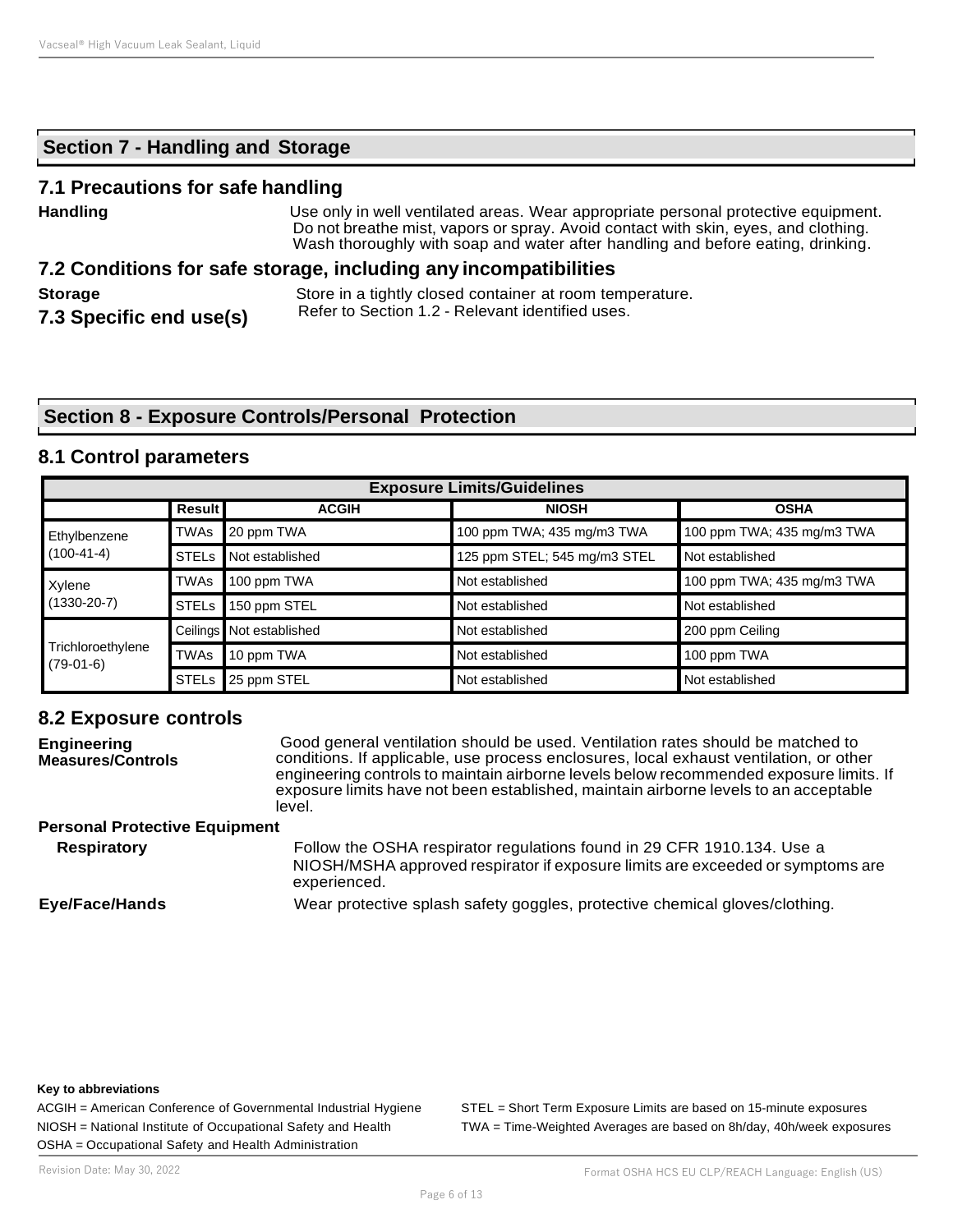# **Section 7 - Handling and Storage**

# **7.1 Precautions for safe handling**

| <b>Handling</b>                           | Use only in well ventilated areas. Wear appropriate personal protective equipment.<br>Do not breathe mist, vapors or spray. Avoid contact with skin, eyes, and clothing.<br>Wash thoroughly with soap and water after handling and before eating, drinking. |
|-------------------------------------------|-------------------------------------------------------------------------------------------------------------------------------------------------------------------------------------------------------------------------------------------------------------|
|                                           | 7.2 Conditions for safe storage, including any incompatibilities                                                                                                                                                                                            |
| <b>Storage</b><br>7.3 Specific end use(s) | Store in a tightly closed container at room temperature.<br>Refer to Section 1.2 - Relevant identified uses.                                                                                                                                                |

# **Section 8 - Exposure Controls/Personal Protection**

# **8.1 Control parameters**

| <b>Exposure Limits/Guidelines</b> |               |                          |                              |                            |
|-----------------------------------|---------------|--------------------------|------------------------------|----------------------------|
|                                   | <b>Result</b> | <b>ACGIH</b>             | <b>NIOSH</b>                 | <b>OSHA</b>                |
| Ethylbenzene                      | <b>TWAs</b>   | 20 ppm TWA               | 100 ppm TWA; 435 mg/m3 TWA   | 100 ppm TWA; 435 mg/m3 TWA |
| $(100-41-4)$                      | <b>STELS</b>  | Not established          | 125 ppm STEL; 545 mg/m3 STEL | Not established            |
| Xylene<br>$(1330-20-7)$           | <b>TWAs</b>   | 100 ppm TWA              | Not established              | 100 ppm TWA; 435 mg/m3 TWA |
|                                   | <b>STELs</b>  | 150 ppm STEL             | Not established              | Not established            |
| Trichloroethylene<br>$(79-01-6)$  |               | Ceilings Not established | Not established              | 200 ppm Ceiling            |
|                                   | TWAs          | 10 ppm TWA               | Not established              | 100 ppm TWA                |
|                                   | <b>STELS</b>  | 25 ppm STEL              | Not established              | Not established            |

# **8.2 Exposure controls**

| <b>Engineering</b><br><b>Measures/Controls</b> | Good general ventilation should be used. Ventilation rates should be matched to<br>conditions. If applicable, use process enclosures, local exhaust ventilation, or other<br>engineering controls to maintain airborne levels below recommended exposure limits. If<br>exposure limits have not been established, maintain airborne levels to an acceptable<br>level. |  |
|------------------------------------------------|-----------------------------------------------------------------------------------------------------------------------------------------------------------------------------------------------------------------------------------------------------------------------------------------------------------------------------------------------------------------------|--|
| <b>Personal Protective Equipment</b>           |                                                                                                                                                                                                                                                                                                                                                                       |  |
| <b>Respiratory</b>                             | Follow the OSHA respirator regulations found in 29 CFR 1910.134. Use a<br>NIOSH/MSHA approved respirator if exposure limits are exceeded or symptoms are<br>experienced.                                                                                                                                                                                              |  |
| Eye/Face/Hands                                 | Wear protective splash safety goggles, protective chemical gloves/clothing.                                                                                                                                                                                                                                                                                           |  |

#### **Key to abbreviations**

OSHA = Occupational Safety and Health Administration

ACGIH = American Conference of Governmental Industrial Hygiene STEL = Short Term Exposure Limits are based on 15-minute exposures NIOSH = National Institute of Occupational Safety and Health TWA = Time-Weighted Averages are based on 8h/day, 40h/week exposures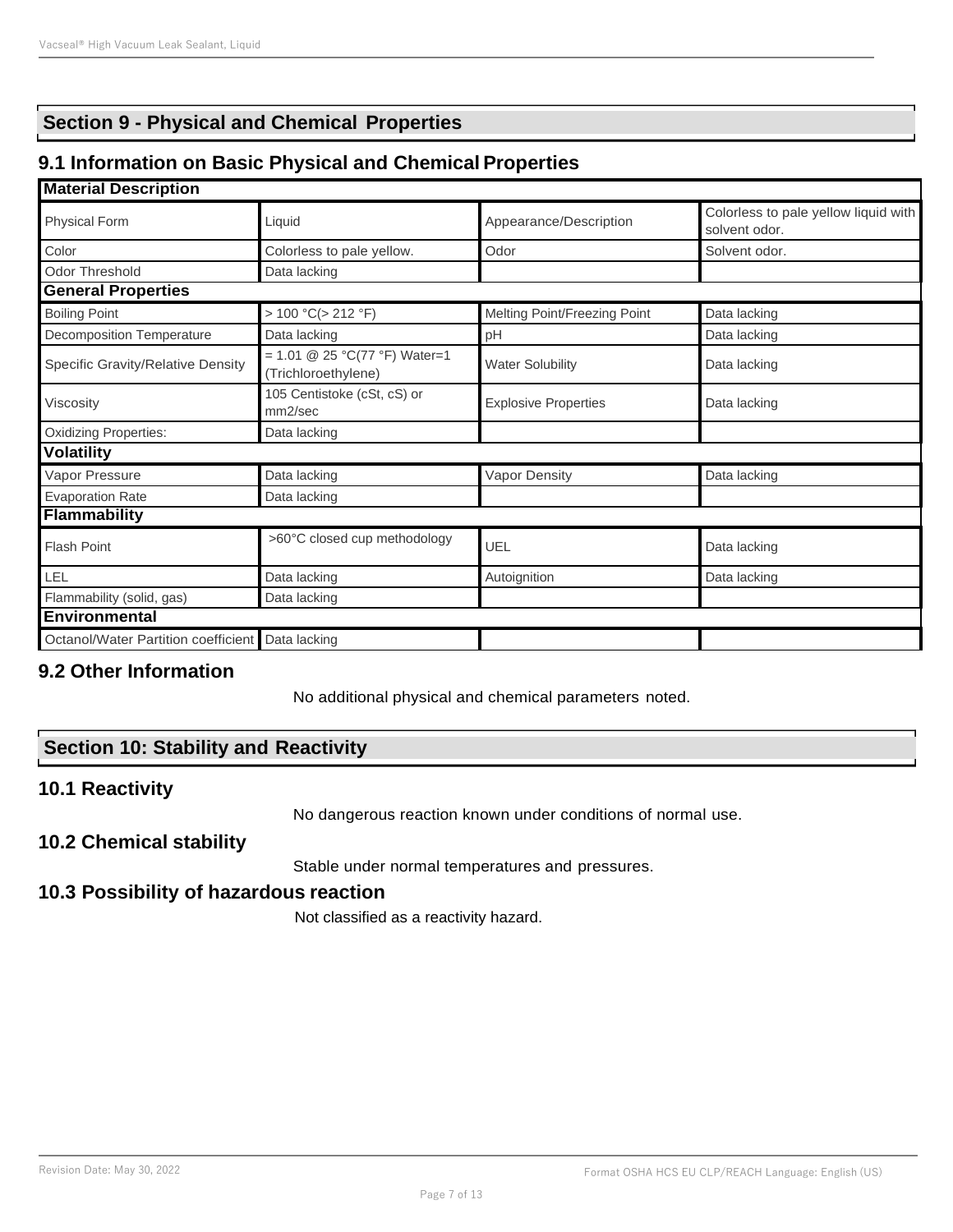# **Section 9 - Physical and Chemical Properties**

# **9.1 Information on Basic Physical and Chemical Properties**

#### **Material Description**

| <b>Physical Form</b><br>Liquid                      |                                                      | Appearance/Description       | Colorless to pale yellow liquid with<br>solvent odor. |  |
|-----------------------------------------------------|------------------------------------------------------|------------------------------|-------------------------------------------------------|--|
| Color                                               | Colorless to pale yellow.                            | Odor                         | Solvent odor.                                         |  |
| <b>Odor Threshold</b>                               | Data lacking                                         |                              |                                                       |  |
| <b>General Properties</b>                           |                                                      |                              |                                                       |  |
| <b>Boiling Point</b>                                | > 100 °C (> 212 °F)                                  | Melting Point/Freezing Point | Data lacking                                          |  |
| <b>Decomposition Temperature</b>                    | Data lacking                                         | pH                           | Data lacking                                          |  |
| Specific Gravity/Relative Density                   | = 1.01 @ 25 °C(77 °F) Water=1<br>(Trichloroethylene) | <b>Water Solubility</b>      | Data lacking                                          |  |
| 105 Centistoke (cSt, cS) or<br>Viscosity<br>mm2/sec |                                                      | <b>Explosive Properties</b>  | Data lacking                                          |  |
| <b>Oxidizing Properties:</b>                        | Data lacking                                         |                              |                                                       |  |
| <b>Volatility</b>                                   |                                                      |                              |                                                       |  |
| Vapor Pressure                                      | Data lacking                                         | Vapor Density                | Data lacking                                          |  |
| <b>Evaporation Rate</b><br>Data lacking             |                                                      |                              |                                                       |  |
| <b>Flammability</b>                                 |                                                      |                              |                                                       |  |
| <b>Flash Point</b>                                  | >60°C closed cup methodology                         | UEL                          | Data lacking                                          |  |
| LEL                                                 | Data lacking                                         | Autoignition                 | Data lacking                                          |  |
| Flammability (solid, gas)                           | Data lacking                                         |                              |                                                       |  |
| <b>Environmental</b>                                |                                                      |                              |                                                       |  |
| Octanol/Water Partition coefficient Data lacking    |                                                      |                              |                                                       |  |
|                                                     |                                                      |                              |                                                       |  |

# **9.2 Other Information**

No additional physical and chemical parameters noted.

# **Section 10: Stability and Reactivity**

# **10.1 Reactivity**

No dangerous reaction known under conditions of normal use.

# **10.2 Chemical stability**

Stable under normal temperatures and pressures.

# **10.3 Possibility of hazardous reaction**

Not classified as a reactivity hazard.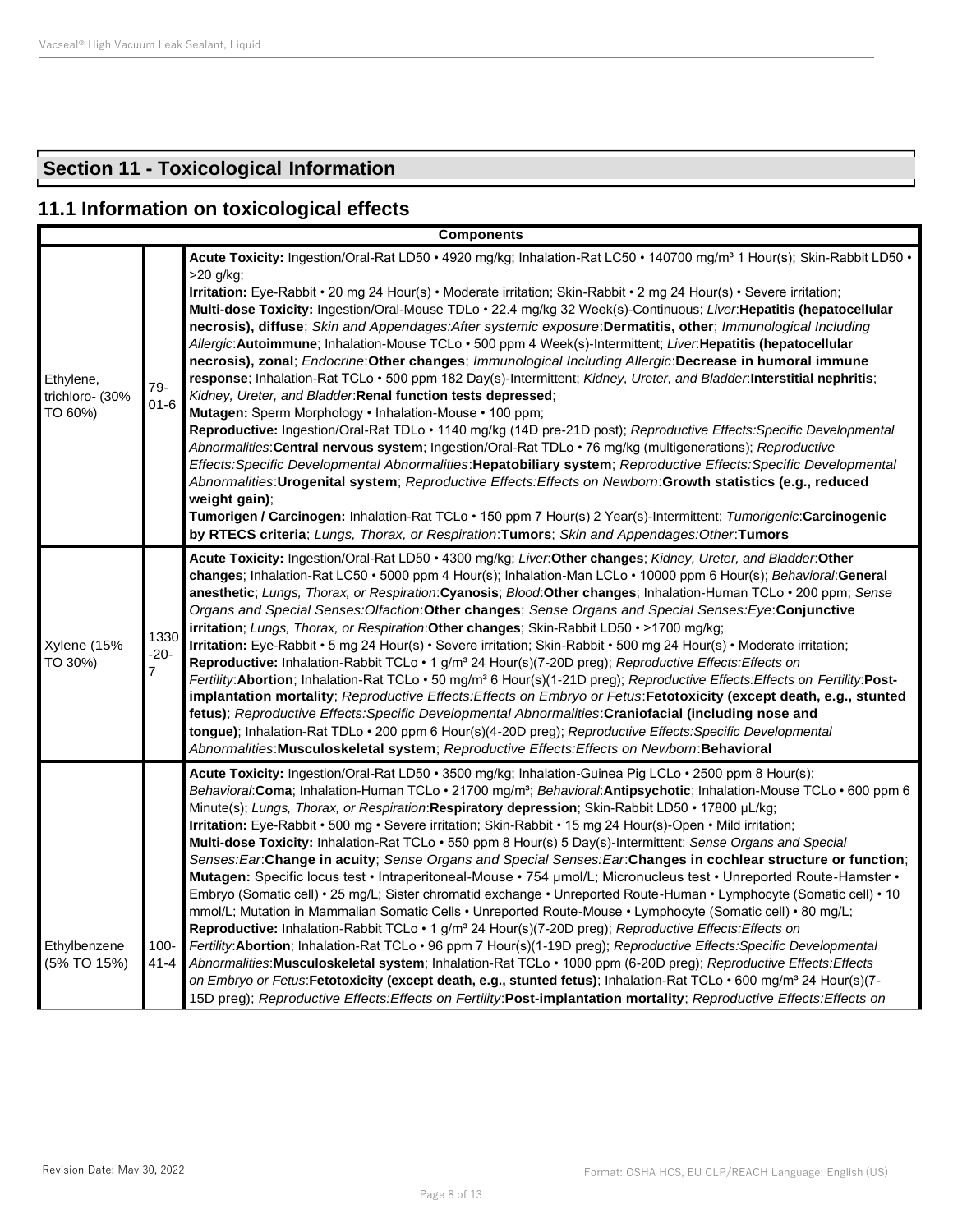# **Section 11 - Toxicological Information**

# **11.1 Information on toxicological effects**

| <b>Components</b>                       |                                  |                                                                                                                                                                                                                                                                                                                                                                                                                                                                                                                                                                                                                                                                                                                                                                                                                                                                                                                                                                                                                                                                                                                                                                                                                                                                                                                                                                                                                                                                                                                                                                                                                                                                                                                   |  |  |
|-----------------------------------------|----------------------------------|-------------------------------------------------------------------------------------------------------------------------------------------------------------------------------------------------------------------------------------------------------------------------------------------------------------------------------------------------------------------------------------------------------------------------------------------------------------------------------------------------------------------------------------------------------------------------------------------------------------------------------------------------------------------------------------------------------------------------------------------------------------------------------------------------------------------------------------------------------------------------------------------------------------------------------------------------------------------------------------------------------------------------------------------------------------------------------------------------------------------------------------------------------------------------------------------------------------------------------------------------------------------------------------------------------------------------------------------------------------------------------------------------------------------------------------------------------------------------------------------------------------------------------------------------------------------------------------------------------------------------------------------------------------------------------------------------------------------|--|--|
| Ethylene,<br>trichloro- (30%<br>TO 60%) | 79-<br>$01 - 6$                  | Acute Toxicity: Ingestion/Oral-Rat LD50 · 4920 mg/kg; Inhalation-Rat LC50 · 140700 mg/m <sup>3</sup> 1 Hour(s); Skin-Rabbit LD50 ·<br>$>20$ g/kg;<br>Irritation: Eye-Rabbit · 20 mg 24 Hour(s) · Moderate irritation; Skin-Rabbit · 2 mg 24 Hour(s) · Severe irritation;<br>Multi-dose Toxicity: Ingestion/Oral-Mouse TDLo · 22.4 mg/kg 32 Week(s)-Continuous; Liver: Hepatitis (hepatocellular<br>necrosis), diffuse; Skin and Appendages: After systemic exposure: Dermatitis, other; Immunological Including<br>Allergic: Autoimmune; Inhalation-Mouse TCLo · 500 ppm 4 Week(s)-Intermittent; Liver: Hepatitis (hepatocellular<br>necrosis), zonal; Endocrine:Other changes; Immunological Including Allergic:Decrease in humoral immune<br>response; Inhalation-Rat TCLo · 500 ppm 182 Day(s)-Intermittent; Kidney, Ureter, and Bladder.Interstitial nephritis;<br>Kidney, Ureter, and Bladder: Renal function tests depressed;<br><b>Mutagen:</b> Sperm Morphology • Inhalation-Mouse • 100 ppm;<br>Reproductive: Ingestion/Oral-Rat TDLo · 1140 mg/kg (14D pre-21D post); Reproductive Effects: Specific Developmental<br>Abnormalities: Central nervous system; Ingestion/Oral-Rat TDLo · 76 mg/kg (multigenerations); Reproductive<br>Effects:Specific Developmental Abnormalities:Hepatobiliary system; Reproductive Effects:Specific Developmental<br>Abnormalities: Urogenital system; Reproductive Effects: Effects on Newborn: Growth statistics (e.g., reduced<br>weight gain);<br>Tumorigen / Carcinogen: Inhalation-Rat TCLo · 150 ppm 7 Hour(s) 2 Year(s)-Intermittent; Tumorigenic:Carcinogenic<br>by RTECS criteria; Lungs, Thorax, or Respiration: Tumors; Skin and Appendages: Other: Tumors |  |  |
| Xylene (15%<br>TO 30%)                  | 1330<br>$-20-$<br>$\overline{7}$ | Acute Toxicity: Ingestion/Oral-Rat LD50 · 4300 mg/kg; Liver.Other changes; Kidney, Ureter, and Bladder.Other<br>changes; Inhalation-Rat LC50 · 5000 ppm 4 Hour(s); Inhalation-Man LCLo · 10000 ppm 6 Hour(s); Behavioral: General<br>anesthetic; Lungs, Thorax, or Respiration: Cyanosis; Blood: Other changes; Inhalation-Human TCLo · 200 ppm; Sense<br>Organs and Special Senses: Olfaction: Other changes; Sense Organs and Special Senses: Eye: Conjunctive<br>irritation; Lungs, Thorax, or Respiration: Other changes; Skin-Rabbit LD50 · >1700 mg/kg;<br>Irritation: Eye-Rabbit • 5 mg 24 Hour(s) • Severe irritation; Skin-Rabbit • 500 mg 24 Hour(s) • Moderate irritation;<br><b>Reproductive:</b> Inhalation-Rabbit TCLo $\cdot$ 1 g/m <sup>3</sup> 24 Hour(s)(7-20D preg); Reproductive Effects: Effects on<br>Fertility: Abortion; Inhalation-Rat TCLo . 50 mg/m <sup>3</sup> 6 Hour(s)(1-21D preg); Reproductive Effects: Effects on Fertility: Post-<br>implantation mortality; Reproductive Effects:Effects on Embryo or Fetus:Fetotoxicity (except death, e.g., stunted<br>fetus); Reproductive Effects: Specific Developmental Abnormalities: Craniofacial (including nose and<br>tongue); Inhalation-Rat TDLo · 200 ppm 6 Hour(s)(4-20D preg); Reproductive Effects: Specific Developmental<br>Abnormalities: Musculoskeletal system; Reproductive Effects: Effects on Newborn: Behavioral                                                                                                                                                                                                                                                                                                    |  |  |
| Ethylbenzene<br>(5% TO 15%)             | $100 -$<br>$41 - 4$              | Acute Toxicity: Ingestion/Oral-Rat LD50 • 3500 mg/kg; Inhalation-Guinea Pig LCLo • 2500 ppm 8 Hour(s);<br>Behavioral: Coma; Inhalation-Human TCLo · 21700 mg/m <sup>3</sup> ; Behavioral: Antipsychotic; Inhalation-Mouse TCLo · 600 ppm 6<br>Minute(s); Lungs, Thorax, or Respiration: Respiratory depression; Skin-Rabbit LD50 • 17800 µL/kg;<br>Irritation: Eye-Rabbit · 500 mg · Severe irritation; Skin-Rabbit · 15 mg 24 Hour(s)-Open · Mild irritation;<br>Multi-dose Toxicity: Inhalation-Rat TCLo • 550 ppm 8 Hour(s) 5 Day(s)-Intermittent; Sense Organs and Special<br>Senses: Ear: Change in acuity; Sense Organs and Special Senses: Ear: Changes in cochlear structure or function;<br>Mutagen: Specific locus test · Intraperitoneal-Mouse · 754 µmol/L; Micronucleus test · Unreported Route-Hamster ·<br>Embryo (Somatic cell) • 25 mg/L; Sister chromatid exchange • Unreported Route-Human • Lymphocyte (Somatic cell) • 10<br>mmol/L; Mutation in Mammalian Somatic Cells • Unreported Route-Mouse • Lymphocyte (Somatic cell) • 80 mg/L;<br>Reproductive: Inhalation-Rabbit TCLo · 1 g/m <sup>3</sup> 24 Hour(s)(7-20D preg); Reproductive Effects: Effects on<br>Fertility: Abortion; Inhalation-Rat TCLo · 96 ppm 7 Hour(s)(1-19D preg); Reproductive Effects: Specific Developmental<br>Abnormalities: Musculoskeletal system; Inhalation-Rat TCLo • 1000 ppm (6-20D preg); Reproductive Effects: Effects<br>on Embryo or Fetus: Fetotoxicity (except death, e.g., stunted fetus); Inhalation-Rat TCLo · 600 mg/m <sup>3</sup> 24 Hour(s)(7-<br>15D preg); Reproductive Effects: Effects on Fertility: Post-implantation mortality; Reproductive Effects: Effects on                      |  |  |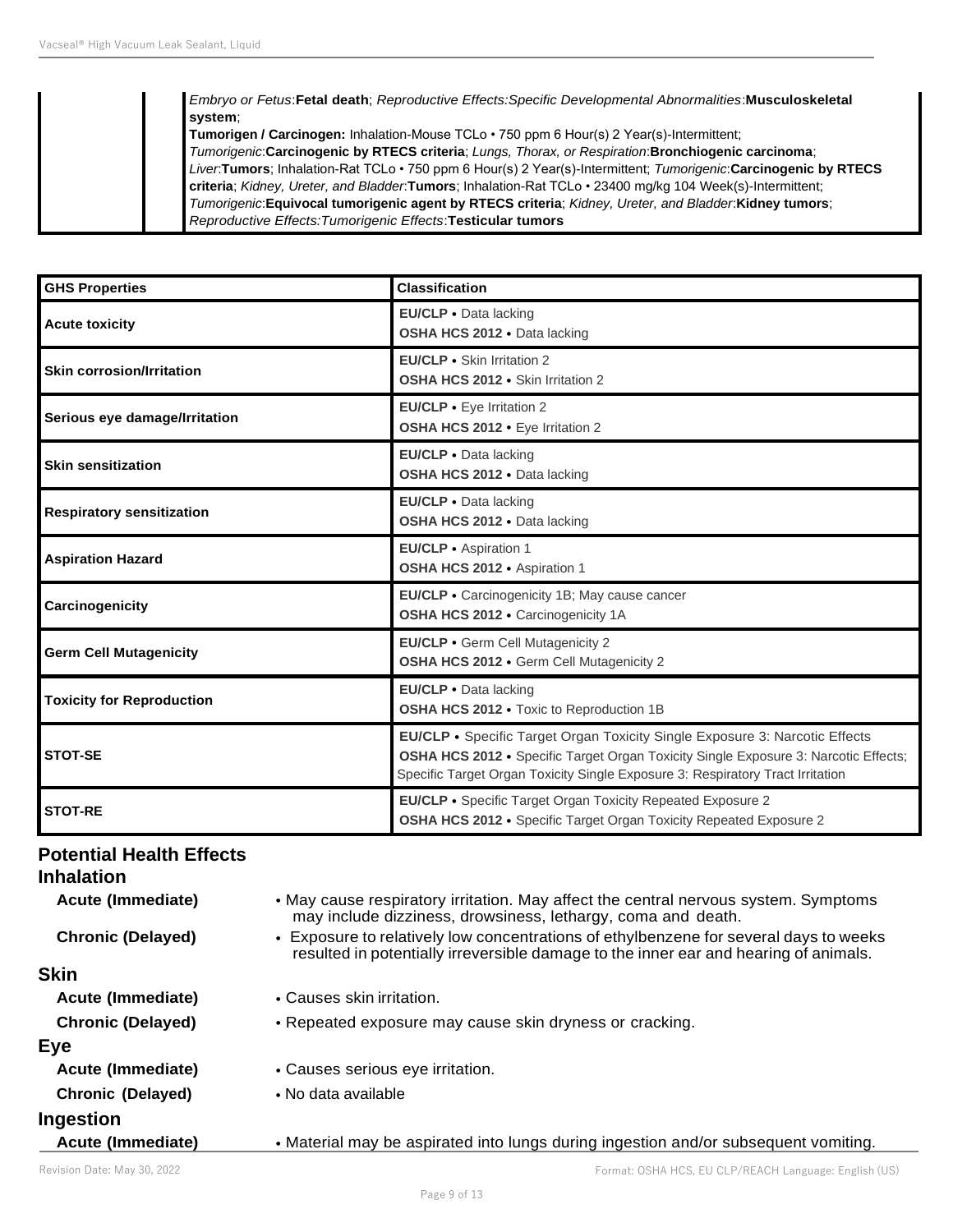#### *Embryo or Fetus*:**Fetal death**; *Reproductive Effects:Specific Developmental Abnormalities*:**Musculoskeletal system**;

**Tumorigen / Carcinogen:** Inhalation-Mouse TCLo • 750 ppm 6 Hour(s) 2 Year(s)-Intermittent; *Tumorigenic*:**Carcinogenic by RTECS criteria**; *Lungs, Thorax, or Respiration*:**Bronchiogenic carcinoma**; *Liver*:**Tumors**; Inhalation-Rat TCLo • 750 ppm 6 Hour(s) 2 Year(s)-Intermittent; *Tumorigenic*:**Carcinogenic by RTECS criteria**; *Kidney, Ureter, and Bladder*:**Tumors**; Inhalation-Rat TCLo • 23400 mg/kg 104 Week(s)-Intermittent; *Tumorigenic*:**Equivocal tumorigenic agent by RTECS criteria**; *Kidney, Ureter, and Bladder*:**Kidney tumors**; *Reproductive Effects:Tumorigenic Effects*:**Testicular tumors**

| <b>GHS Properties</b>                                                                                                                                      | <b>Classification</b>                                                                                                                                                                                                                                |
|------------------------------------------------------------------------------------------------------------------------------------------------------------|------------------------------------------------------------------------------------------------------------------------------------------------------------------------------------------------------------------------------------------------------|
| <b>Acute toxicity</b>                                                                                                                                      | EU/CLP · Data lacking<br>OSHA HCS 2012 . Data lacking                                                                                                                                                                                                |
| <b>Skin corrosion/Irritation</b>                                                                                                                           | EU/CLP • Skin Irritation 2<br>OSHA HCS 2012 · Skin Irritation 2                                                                                                                                                                                      |
| Serious eye damage/Irritation                                                                                                                              | EU/CLP • Eye Irritation 2<br>OSHA HCS 2012 · Eye Irritation 2                                                                                                                                                                                        |
| <b>Skin sensitization</b>                                                                                                                                  | EU/CLP · Data lacking<br>OSHA HCS 2012 · Data lacking                                                                                                                                                                                                |
| <b>Respiratory sensitization</b>                                                                                                                           | EU/CLP · Data lacking<br>OSHA HCS 2012 . Data lacking                                                                                                                                                                                                |
| <b>Aspiration Hazard</b>                                                                                                                                   | EU/CLP · Aspiration 1<br>OSHA HCS 2012 · Aspiration 1                                                                                                                                                                                                |
| Carcinogenicity                                                                                                                                            | EU/CLP • Carcinogenicity 1B; May cause cancer<br>OSHA HCS 2012 · Carcinogenicity 1A                                                                                                                                                                  |
| EU/CLP · Germ Cell Mutagenicity 2<br><b>Germ Cell Mutagenicity</b><br>OSHA HCS 2012 . Germ Cell Mutagenicity 2                                             |                                                                                                                                                                                                                                                      |
| EU/CLP · Data lacking<br><b>Toxicity for Reproduction</b><br>OSHA HCS 2012 . Toxic to Reproduction 1B                                                      |                                                                                                                                                                                                                                                      |
| <b>STOT-SE</b>                                                                                                                                             | EU/CLP • Specific Target Organ Toxicity Single Exposure 3: Narcotic Effects<br>OSHA HCS 2012 · Specific Target Organ Toxicity Single Exposure 3: Narcotic Effects;<br>Specific Target Organ Toxicity Single Exposure 3: Respiratory Tract Irritation |
| <b>EU/CLP •</b> Specific Target Organ Toxicity Repeated Exposure 2<br><b>STOT-RE</b><br>OSHA HCS 2012 • Specific Target Organ Toxicity Repeated Exposure 2 |                                                                                                                                                                                                                                                      |

# **Potential Health Effects**

| <b>Inhalation</b>        |                                                                                                                                                                               |
|--------------------------|-------------------------------------------------------------------------------------------------------------------------------------------------------------------------------|
| Acute (Immediate)        | • May cause respiratory irritation. May affect the central nervous system. Symptoms<br>may include dizziness, drowsiness, lethargy, coma and death.                           |
| <b>Chronic (Delayed)</b> | • Exposure to relatively low concentrations of ethylbenzene for several days to weeks<br>resulted in potentially irreversible damage to the inner ear and hearing of animals. |
| <b>Skin</b>              |                                                                                                                                                                               |
| <b>Acute (Immediate)</b> | • Causes skin irritation.                                                                                                                                                     |
| <b>Chronic (Delayed)</b> | • Repeated exposure may cause skin dryness or cracking.                                                                                                                       |
| Eye                      |                                                                                                                                                                               |
| Acute (Immediate)        | • Causes serious eye irritation.                                                                                                                                              |
| <b>Chronic (Delayed)</b> | • No data available                                                                                                                                                           |
| Ingestion                |                                                                                                                                                                               |
| Acute (Immediate)        | • Material may be aspirated into lungs during ingestion and/or subsequent vomiting.                                                                                           |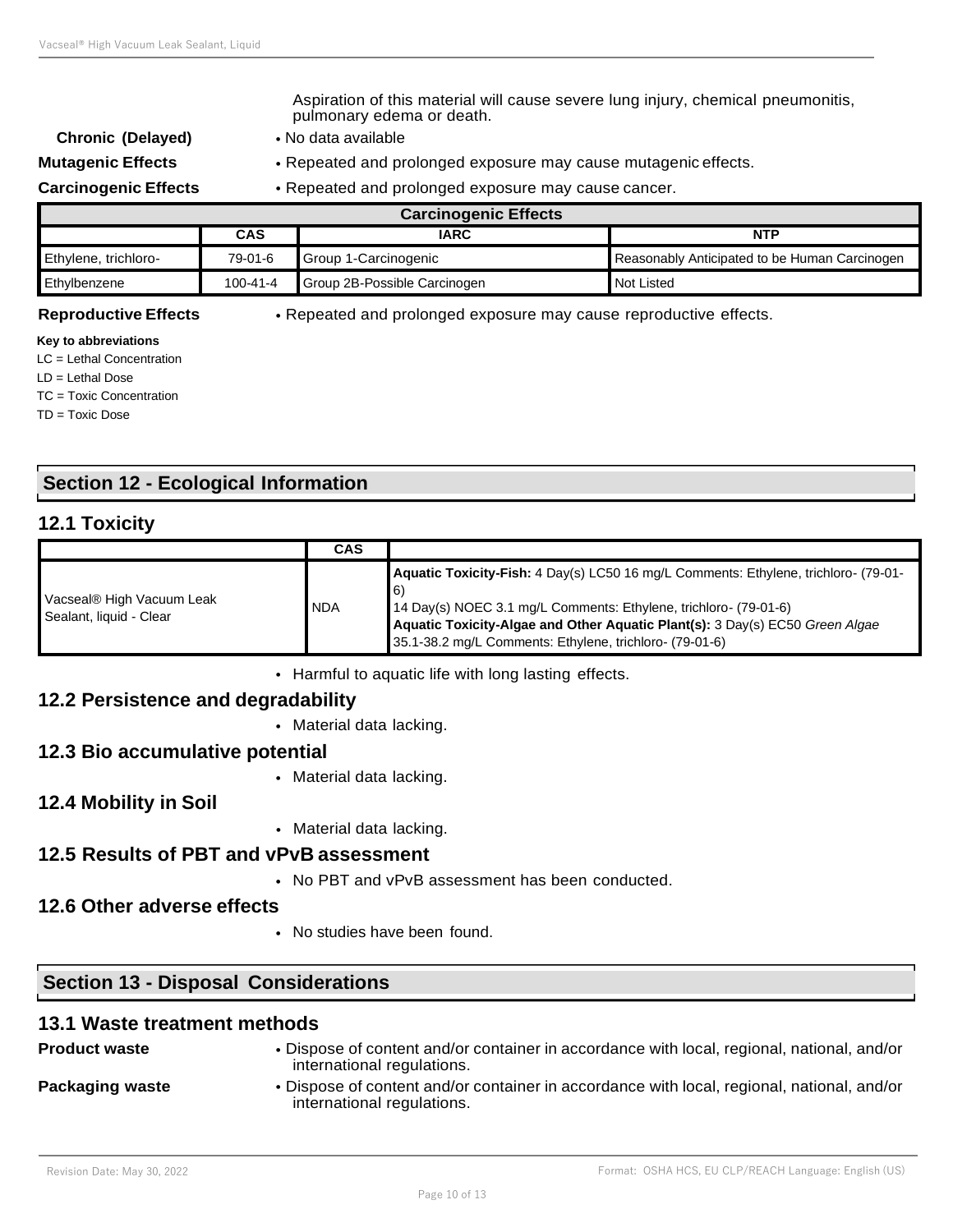Aspiration of this material will cause severe lung injury, chemical pneumonitis, pulmonary edema or death.

- **Chronic (Delayed)** No data available
- **Mutagenic Effects** Repeated and prolonged exposure may cause mutagenic effects.

**Carcinogenic Effects** • Repeated and prolonged exposure may cause cancer.

| <b>Carcinogenic Effects</b> |          |                              |                                               |  |  |
|-----------------------------|----------|------------------------------|-----------------------------------------------|--|--|
|                             | CAS      | <b>IARC</b>                  | <b>NTP</b>                                    |  |  |
| Ethylene, trichloro-        | 79-01-6  | Group 1-Carcinogenic         | Reasonably Anticipated to be Human Carcinogen |  |  |
| Ethylbenzene                | 100-41-4 | Group 2B-Possible Carcinogen | Not Listed                                    |  |  |

**Reproductive Effects** • Repeated and prolonged exposure may cause reproductive effects.

#### **Key to abbreviations**

LC = Lethal Concentration

LD = Lethal Dose

TC = Toxic Concentration

TD = Toxic Dose

# **Section 12 - Ecological Information**

# **12.1 Toxicity**

|                                                      | <b>CAS</b> |                                                                                                                                                                                                                                                                                                                |
|------------------------------------------------------|------------|----------------------------------------------------------------------------------------------------------------------------------------------------------------------------------------------------------------------------------------------------------------------------------------------------------------|
| Vacseal® High Vacuum Leak<br>Sealant, liquid - Clear | <b>NDA</b> | Aquatic Toxicity-Fish: 4 Day(s) LC50 16 mg/L Comments: Ethylene, trichloro- (79-01-<br><b>6</b><br>14 Day(s) NOEC 3.1 mg/L Comments: Ethylene, trichloro- (79-01-6)<br>Aquatic Toxicity-Algae and Other Aquatic Plant(s): 3 Day(s) EC50 Green Algae<br>35.1-38.2 mg/L Comments: Ethylene, trichloro- (79-01-6) |

• Harmful to aquatic life with long lasting effects.

# **12.2 Persistence and degradability**

• Material data lacking.

# **12.3 Bio accumulative potential**

- Material data lacking.
- **12.4 Mobility in Soil**
- Material data lacking.

# **12.5 Results of PBT and vPvB assessment**

• No PBT and vPvB assessment has been conducted.

# **12.6 Other adverse effects**

• No studies have been found.

# **Section 13 - Disposal Considerations**

#### **13.1 Waste treatment methods**

| <b>Product waste</b> | . Dispose of content and/or container in accordance with local, regional, national, and/or<br>international regulations. |
|----------------------|--------------------------------------------------------------------------------------------------------------------------|
| Packaging waste      | . Dispose of content and/or container in accordance with local, regional, national, and/or<br>international regulations. |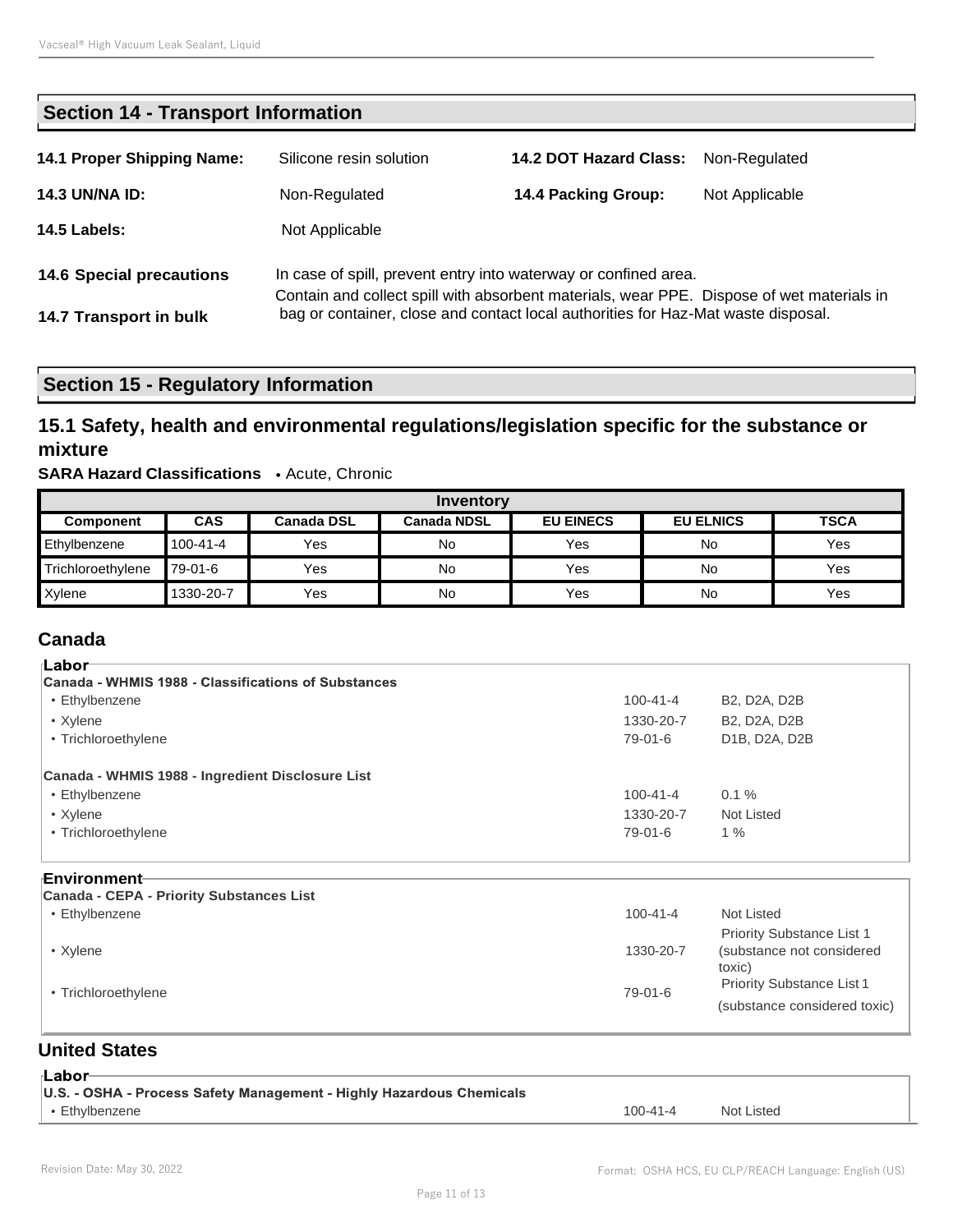| <b>Section 14 - Transport Information</b> |                                                                                                                                                              |                                                                                   |                |  |
|-------------------------------------------|--------------------------------------------------------------------------------------------------------------------------------------------------------------|-----------------------------------------------------------------------------------|----------------|--|
| 14.1 Proper Shipping Name:                | Silicone resin solution                                                                                                                                      | <b>14.2 DOT Hazard Class:</b>                                                     | Non-Regulated  |  |
| <b>14.3 UN/NA ID:</b>                     | Non-Regulated                                                                                                                                                | 14.4 Packing Group:                                                               | Not Applicable |  |
| <b>14.5 Labels:</b>                       | Not Applicable                                                                                                                                               |                                                                                   |                |  |
| <b>14.6 Special precautions</b>           | In case of spill, prevent entry into waterway or confined area.<br>Contain and collect spill with absorbent materials, wear PPE. Dispose of wet materials in |                                                                                   |                |  |
| 14.7 Transport in bulk                    |                                                                                                                                                              | bag or container, close and contact local authorities for Haz-Mat waste disposal. |                |  |

# **Section 15 - Regulatory Information**

# **15.1 Safety, health and environmental regulations/legislation specific for the substance or mixture**

#### **SARA Hazard Classifications** • Acute, Chronic

| Inventory         |            |                   |                    |                  |                  |             |
|-------------------|------------|-------------------|--------------------|------------------|------------------|-------------|
| <b>Component</b>  | <b>CAS</b> | <b>Canada DSL</b> | <b>Canada NDSL</b> | <b>EU EINECS</b> | <b>EU ELNICS</b> | <b>TSCA</b> |
| Ethylbenzene      | 100-41-4   | Yes               | No                 | Yes              | No               | Yes         |
| Trichloroethylene | 79-01-6    | Yes               | No                 | Yes              | No               | Yes         |
| Xylene            | 1330-20-7  | Yes               | No                 | Yes              | No               | Yes         |

# **Canada**

| 'Labor                                              |                |                                                     |
|-----------------------------------------------------|----------------|-----------------------------------------------------|
| Canada - WHMIS 1988 - Classifications of Substances |                |                                                     |
| • Ethylbenzene                                      | $100 - 41 - 4$ | B <sub>2</sub> , D <sub>2</sub> A, D <sub>2</sub> B |
| • Xylene                                            | 1330-20-7      | B <sub>2</sub> , D <sub>2</sub> A, D <sub>2</sub> B |
| • Trichloroethylene                                 | 79-01-6        | D1B, D2A, D2B                                       |
| Canada - WHMIS 1988 - Ingredient Disclosure List    |                |                                                     |
| • Ethylbenzene                                      | $100 - 41 - 4$ | $0.1 \%$                                            |
| • Xylene                                            | 1330-20-7      | Not Listed                                          |
| • Trichloroethylene                                 | 79-01-6        | $1\%$                                               |
|                                                     |                |                                                     |

#### **Environment**

| Canada - CEPA - Priority Substances List |                |                                  |
|------------------------------------------|----------------|----------------------------------|
| • Ethylbenzene                           | $100 - 41 - 4$ | Not Listed                       |
|                                          |                | <b>Priority Substance List 1</b> |
| • Xvlene                                 | 1330-20-7      | (substance not considered        |
|                                          |                | toxic)                           |
| • Trichloroethylene                      | 79-01-6        | <b>Priority Substance List 1</b> |
|                                          |                | (substance considered toxic)     |

# **United States**

| ⊪Labor                                                               |                |            |
|----------------------------------------------------------------------|----------------|------------|
| U.S. - OSHA - Process Safety Management - Highly Hazardous Chemicals |                |            |
| • Ethylbenzene                                                       | $100 - 41 - 4$ | Not Listed |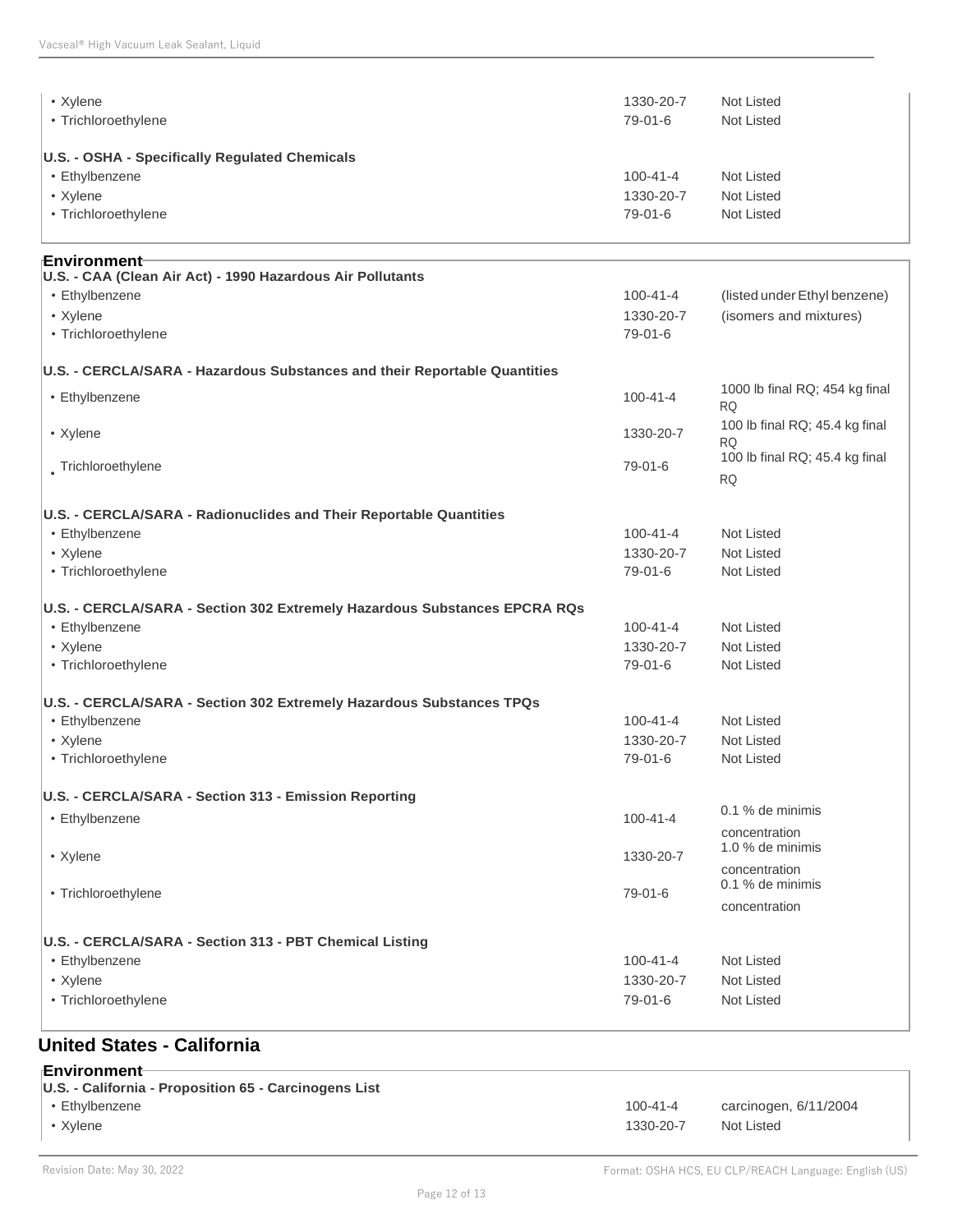| • Xylene                                                                  | 1330-20-7                   | Not Listed                                  |
|---------------------------------------------------------------------------|-----------------------------|---------------------------------------------|
| • Trichloroethylene                                                       | 79-01-6                     | Not Listed                                  |
| U.S. - OSHA - Specifically Regulated Chemicals                            |                             |                                             |
| • Ethylbenzene                                                            | $100 - 41 - 4$              | Not Listed                                  |
| • Xylene                                                                  | 1330-20-7                   | Not Listed                                  |
| • Trichloroethylene                                                       | 79-01-6                     | Not Listed                                  |
| ⊪Environment                                                              |                             |                                             |
| U.S. - CAA (Clean Air Act) - 1990 Hazardous Air Pollutants                |                             |                                             |
| • Ethylbenzene                                                            | $100 - 41 - 4$<br>1330-20-7 | (listed under Ethyl benzene)                |
| • Xylene<br>• Trichloroethylene                                           | 79-01-6                     | (isomers and mixtures)                      |
| U.S. - CERCLA/SARA - Hazardous Substances and their Reportable Quantities |                             |                                             |
| • Ethylbenzene                                                            | $100 - 41 - 4$              | 1000 lb final RQ; 454 kg final<br><b>RQ</b> |
| • Xylene                                                                  | 1330-20-7                   | 100 lb final RQ; 45.4 kg final<br>RQ        |
| Trichloroethylene                                                         | 79-01-6                     | 100 lb final RQ; 45.4 kg final<br><b>RQ</b> |
| U.S. - CERCLA/SARA - Radionuclides and Their Reportable Quantities        |                             |                                             |
| • Ethylbenzene                                                            | $100 - 41 - 4$              | Not Listed                                  |
| • Xylene                                                                  | 1330-20-7                   | Not Listed                                  |
| • Trichloroethylene                                                       | 79-01-6                     | Not Listed                                  |
| U.S. - CERCLA/SARA - Section 302 Extremely Hazardous Substances EPCRA RQs |                             |                                             |
| • Ethylbenzene                                                            | $100 - 41 - 4$              | Not Listed                                  |
| • Xylene                                                                  | 1330-20-7                   | Not Listed                                  |
| • Trichloroethylene                                                       | 79-01-6                     | Not Listed                                  |
| U.S. - CERCLA/SARA - Section 302 Extremely Hazardous Substances TPQs      |                             |                                             |
| • Ethylbenzene                                                            | $100 - 41 - 4$              | Not Listed                                  |
| • Xylene                                                                  | 1330-20-7                   | Not Listed                                  |
| • Trichloroethylene                                                       | 79-01-6                     | Not Listed                                  |
| U.S. - CERCLA/SARA - Section 313 - Emission Reporting                     |                             |                                             |
| • Ethylbenzene                                                            | $100 - 41 - 4$              | 0.1 % de minimis                            |
|                                                                           |                             | concentration                               |
| • Xylene                                                                  | 1330-20-7                   | 1.0 % de minimis                            |
|                                                                           |                             | concentration<br>0.1 % de minimis           |
| • Trichloroethylene                                                       | 79-01-6                     | concentration                               |
|                                                                           |                             |                                             |
| U.S. - CERCLA/SARA - Section 313 - PBT Chemical Listing                   |                             |                                             |
| • Ethylbenzene                                                            | $100 - 41 - 4$              | Not Listed                                  |
| • Xylene                                                                  | 1330-20-7                   | Not Listed                                  |
| • Trichloroethylene                                                       | 79-01-6                     | Not Listed                                  |
| $\sim$ $\cdots$                                                           |                             |                                             |

#### **United States - California**

| ⊦Environment⊣<br>U.S. - California - Proposition 65 - Carcinogens List |                |                       |
|------------------------------------------------------------------------|----------------|-----------------------|
| • Ethylbenzene                                                         | $100 - 41 - 4$ | carcinogen, 6/11/2004 |
| • Xvlene                                                               | 1330-20-7      | Not Listed            |